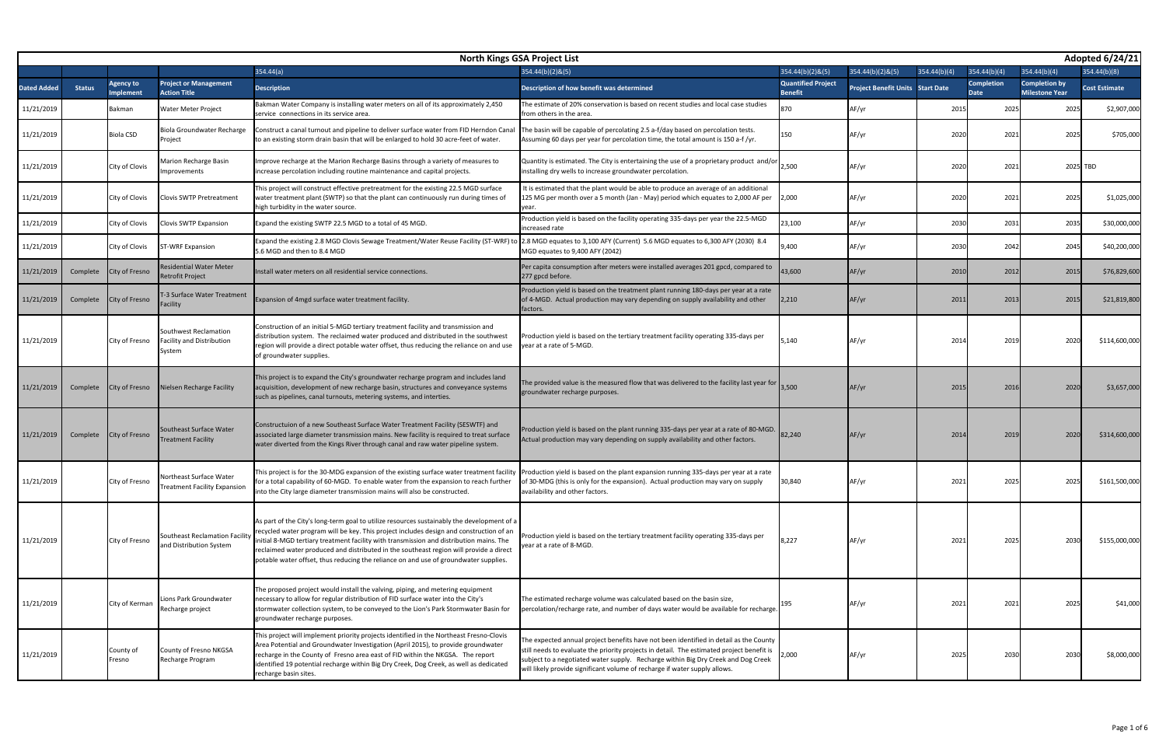| Adopted 6/24/21<br><b>North Kings GSA Project List</b> |               |                       |                                                              |                                                                                                                                                                                                                                                                                                                                                                                                                                                                    |                                                                                                                                                                                                                                                                                                                                                       |                                             |                                         |              |                                  |                                               |                      |  |
|--------------------------------------------------------|---------------|-----------------------|--------------------------------------------------------------|--------------------------------------------------------------------------------------------------------------------------------------------------------------------------------------------------------------------------------------------------------------------------------------------------------------------------------------------------------------------------------------------------------------------------------------------------------------------|-------------------------------------------------------------------------------------------------------------------------------------------------------------------------------------------------------------------------------------------------------------------------------------------------------------------------------------------------------|---------------------------------------------|-----------------------------------------|--------------|----------------------------------|-----------------------------------------------|----------------------|--|
|                                                        |               |                       |                                                              | 354.44(a)                                                                                                                                                                                                                                                                                                                                                                                                                                                          | $354.44(b)(2)$ &(5)                                                                                                                                                                                                                                                                                                                                   | 354.44(b)(2)&(5)                            | $354.44(b)(2)$ &(5)                     | 354.44(b)(4) | 354.44(b)(4)                     | 354.44(b)(4)                                  | 354.44(b)(8)         |  |
| <b>Dated Added</b>                                     | <b>Status</b> | Agency to<br>mplement | <b>Project or Management</b><br><b>Action Title</b>          | <b>Description</b>                                                                                                                                                                                                                                                                                                                                                                                                                                                 | Description of how benefit was determined                                                                                                                                                                                                                                                                                                             | <b>Quantified Project</b><br><b>Benefit</b> | <b>Project Benefit Units Start Date</b> |              | <b>Completion</b><br><b>Date</b> | <b>Completion by</b><br><b>Milestone Year</b> | <b>Cost Estimate</b> |  |
| 11/21/2019                                             |               | <b>Bakman</b>         | Water Meter Project                                          | Bakman Water Company is installing water meters on all of its approximately 2,450<br>service connections in its service area.                                                                                                                                                                                                                                                                                                                                      | The estimate of 20% conservation is based on recent studies and local case studies<br>from others in the area.                                                                                                                                                                                                                                        | 870                                         | AF/yr                                   | 2015         | 2025                             | 2025                                          | \$2,907,000          |  |
| 11/21/2019                                             |               | <b>Biola CSD</b>      | Biola Groundwater Recharge<br>Project                        | Construct a canal turnout and pipeline to deliver surface water from FID Herndon Canal<br>to an existing storm drain basin that will be enlarged to hold 30 acre-feet of water.                                                                                                                                                                                                                                                                                    | The basin will be capable of percolating 2.5 a-f/day based on percolation tests.<br>Assuming 60 days per year for percolation time, the total amount is 150 a-f/yr.                                                                                                                                                                                   | L50                                         | AF/yr                                   | 2020         | 2021                             | 2025                                          | \$705,000            |  |
| 11/21/2019                                             |               | City of Clovis        | Marion Recharge Basin<br>mprovements                         | mprove recharge at the Marion Recharge Basins through a variety of measures to<br>increase percolation including routine maintenance and capital projects.                                                                                                                                                                                                                                                                                                         | Quantity is estimated. The City is entertaining the use of a proprietary product and/or 2,500<br>installing dry wells to increase groundwater percolation.                                                                                                                                                                                            |                                             | AF/yr                                   | 2020         | 2021                             |                                               | 2025 TBD             |  |
| 11/21/2019                                             |               | City of Clovis        | <b>Clovis SWTP Pretreatment</b>                              | his project will construct effective pretreatment for the existing 22.5 MGD surface<br>water treatment plant (SWTP) so that the plant can continuously run during times of<br>high turbidity in the water source.                                                                                                                                                                                                                                                  | It is estimated that the plant would be able to produce an average of an additional<br>125 MG per month over a 5 month (Jan - May) period which equates to 2,000 AF per                                                                                                                                                                               | 2,000                                       | AF/yr                                   | 2020         | 2021                             | 2025                                          | \$1,025,000          |  |
| 11/21/2019                                             |               | City of Clovis        | Clovis SWTP Expansion                                        | Expand the existing SWTP 22.5 MGD to a total of 45 MGD.                                                                                                                                                                                                                                                                                                                                                                                                            | Production yield is based on the facility operating 335-days per year the 22.5-MGD<br>ncreased rate                                                                                                                                                                                                                                                   | 23,100                                      | AF/yr                                   | 2030         | 2031                             | 2035                                          | \$30,000,000         |  |
| 11/21/2019                                             |               | City of Clovis        | <b>ST-WRF Expansion</b>                                      | Expand the existing 2.8 MGD Clovis Sewage Treatment/Water Reuse Facility (ST-WRF) to<br>5.6 MGD and then to 8.4 MGD                                                                                                                                                                                                                                                                                                                                                | 2.8 MGD equates to 3,100 AFY (Current) 5.6 MGD equates to 6,300 AFY (2030) 8.4<br>MGD equates to 9,400 AFY (2042)                                                                                                                                                                                                                                     | 9,400                                       | AF/yr                                   | 2030         | 2042                             | 2045                                          | \$40,200,000         |  |
| 11/21/2019                                             | Complete      | City of Fresno        | Residential Water Meter<br>Retrofit Project                  | Install water meters on all residential service connections.                                                                                                                                                                                                                                                                                                                                                                                                       | Per capita consumption after meters were installed averages 201 gpcd, compared to<br>277 gpcd before.                                                                                                                                                                                                                                                 | 43,600                                      | AF/yr                                   | 2010         | 2012                             | 2015                                          | \$76,829,600         |  |
| 11/21/2019                                             | Complete      | City of Fresno        | <b>F-3 Surface Water Treatment</b><br>Facility               | Expansion of 4mgd surface water treatment facility.                                                                                                                                                                                                                                                                                                                                                                                                                | Production yield is based on the treatment plant running 180-days per year at a rate<br>of 4-MGD. Actual production may vary depending on supply availability and other<br>factors.                                                                                                                                                                   | 2,210                                       | AF/yr                                   | 2011         | 2013                             | 2015                                          | \$21,819,800         |  |
| 11/21/2019                                             |               | City of Fresno        | Southwest Reclamation<br>Facility and Distribution<br>System | Construction of an initial 5-MGD tertiary treatment facility and transmission and<br>distribution system. The reclaimed water produced and distributed in the southwest<br>region will provide a direct potable water offset, thus reducing the reliance on and use<br>of groundwater supplies.                                                                                                                                                                    | roduction yield is based on the tertiary treatment facility operating 335-days per<br>year at a rate of 5-MGD.                                                                                                                                                                                                                                        | 5,140                                       | AF/yr                                   | 201          | 2019                             | 2020                                          | \$114,600,000        |  |
| 11/21/2019                                             | Complete      | City of Fresno        | Nielsen Recharge Facility                                    | This project is to expand the City's groundwater recharge program and includes land<br>acquisition, development of new recharge basin, structures and conveyance systems<br>such as pipelines, canal turnouts, metering systems, and interties.                                                                                                                                                                                                                    | The provided value is the measured flow that was delivered to the facility last year for $\vert$<br>groundwater recharge purposes.                                                                                                                                                                                                                    | 3.500                                       | AF/yr                                   | 2015         | 2016                             | 2020                                          | \$3,657,000          |  |
| 11/21/2019                                             | Complete      | <b>City of Fresno</b> | Southeast Surface Water<br><b>Treatment Facility</b>         | Constructuion of a new Southeast Surface Water Treatment Facility (SESWTF) and<br>associated large diameter transmission mains. New facility is required to treat surface<br>water diverted from the Kings River through canal and raw water pipeline system.                                                                                                                                                                                                      | Production yield is based on the plant running 335-days per year at a rate of 80-MGD.<br>Actual production may vary depending on supply availability and other factors.                                                                                                                                                                               | 82,240                                      | AF/yr                                   | 201          | 2019                             | 2020                                          | \$314,600,000        |  |
| 11/21/2019                                             |               | City of Fresno        | Northeast Surface Water<br>Treatment Facility Expansion      | This project is for the 30-MDG expansion of the existing surface water treatment facility Production yield is based on the plant expansion running 335-days per year at a rate<br>for a total capability of 60-MGD. To enable water from the expansion to reach further<br>into the City large diameter transmission mains will also be constructed.                                                                                                               | of 30-MDG (this is only for the expansion). Actual production may vary on supply<br>availability and other factors.                                                                                                                                                                                                                                   | 30,840                                      | AF/yr                                   | 2021         | 2025                             | 2025                                          | \$161,500,000        |  |
| 11/21/2019                                             |               | City of Fresno        | Southeast Reclamation Facility<br>and Distribution System    | As part of the City's long-term goal to utilize resources sustainably the development of a<br>recycled water program will be key. This project includes design and construction of an<br>initial 8-MGD tertiary treatment facility with transmission and distribution mains. The<br>reclaimed water produced and distributed in the southeast region will provide a direct<br>potable water offset, thus reducing the reliance on and use of groundwater supplies. | roduction yield is based on the tertiary treatment facility operating 335-days per<br>year at a rate of 8-MGD.                                                                                                                                                                                                                                        | 8,227                                       | AF/yr                                   | 2021         | 2025                             | 2030                                          | \$155,000,000        |  |
| 11/21/2019                                             |               | City of Kerman        | Lions Park Groundwater<br>Recharge project                   | The proposed project would install the valving, piping, and metering equipment<br>necessary to allow for regular distribution of FID surface water into the City's<br>stormwater collection system, to be conveyed to the Lion's Park Stormwater Basin for<br>groundwater recharge purposes.                                                                                                                                                                       | The estimated recharge volume was calculated based on the basin size,<br>percolation/recharge rate, and number of days water would be available for recharge.                                                                                                                                                                                         |                                             | AF/yr                                   | 2021         | 2021                             | 2025                                          | \$41,000             |  |
| 11/21/2019                                             |               | County of<br>Fresno   | County of Fresno NKGSA<br>Recharge Program                   | This project will implement priority projects identified in the Northeast Fresno-Clovis<br>Area Potential and Groundwater Investigation (April 2015), to provide groundwater<br>recharge in the County of Fresno area east of FID within the NKGSA. The report<br>identified 19 potential recharge within Big Dry Creek, Dog Creek, as well as dedicated<br>recharge basin sites.                                                                                  | The expected annual project benefits have not been identified in detail as the County<br>still needs to evaluate the priority projects in detail. The estimated project benefit is<br>subject to a negotiated water supply. Recharge within Big Dry Creek and Dog Creek<br>will likely provide significant volume of recharge if water supply allows. | 2,000                                       | AF/yr                                   | 2025         | 2030                             | 2030                                          | \$8,000,000          |  |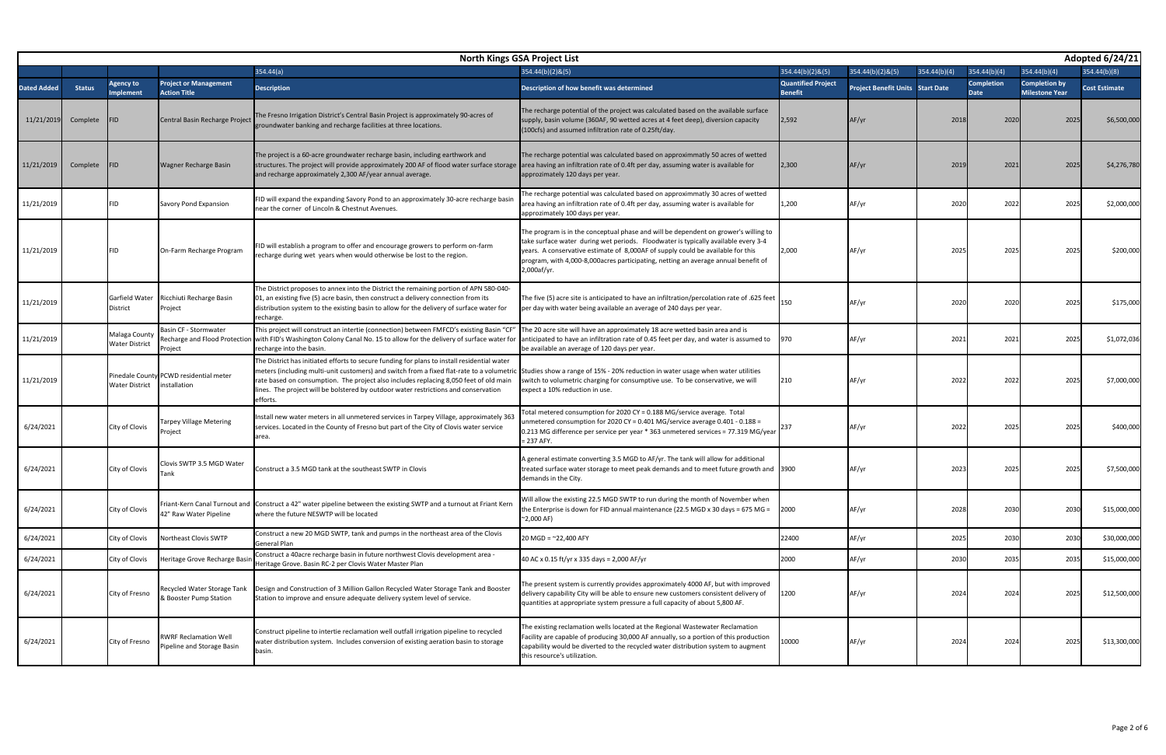| Adopted 6/24/21<br><b>North Kings GSA Project List</b> |               |                                        |                                                            |                                                                                                                                                                                                                                                                                                                                                                                      |                                                                                                                                                                                                                                                                                                                                                                    |                                             |                                         |              |                                  |                                               |                      |  |
|--------------------------------------------------------|---------------|----------------------------------------|------------------------------------------------------------|--------------------------------------------------------------------------------------------------------------------------------------------------------------------------------------------------------------------------------------------------------------------------------------------------------------------------------------------------------------------------------------|--------------------------------------------------------------------------------------------------------------------------------------------------------------------------------------------------------------------------------------------------------------------------------------------------------------------------------------------------------------------|---------------------------------------------|-----------------------------------------|--------------|----------------------------------|-----------------------------------------------|----------------------|--|
|                                                        |               |                                        |                                                            | 354.44(a)                                                                                                                                                                                                                                                                                                                                                                            | 354.44(b)(2)&(5)                                                                                                                                                                                                                                                                                                                                                   | 354.44(b)(2)&(5)                            | $354.44(b)(2)$ &(5)                     | 354.44(b)(4) | 354.44(b)(4)                     | 354.44(b)(4)                                  | 354.44(b)(8)         |  |
| <b>Dated Added</b>                                     | <b>Status</b> | Agency to<br><b>Implement</b>          | <b>Project or Management</b><br><b>Action Title</b>        | <b>Description</b>                                                                                                                                                                                                                                                                                                                                                                   | Description of how benefit was determined                                                                                                                                                                                                                                                                                                                          | <b>Quantified Project</b><br><b>Benefit</b> | <b>Project Benefit Units Start Date</b> |              | <b>Completion</b><br><b>Date</b> | <b>Completion by</b><br><b>Milestone Year</b> | <b>Cost Estimate</b> |  |
| 11/21/2019                                             | Complete      | FID                                    | Central Basin Recharge Project                             | The Fresno Irrigation District's Central Basin Project is approximately 90-acres of<br>groundwater banking and recharge facilities at three locations.                                                                                                                                                                                                                               | The recharge potential of the project was calculated based on the available surface<br>supply, basin volume (360AF, 90 wetted acres at 4 feet deep), diversion capacity<br>(100cfs) and assumed infiltration rate of 0.25ft/day.                                                                                                                                   | 2,592                                       | AF/yr                                   | 2018         | 2020                             | 2025                                          | \$6,500,000          |  |
| 11/21/2019                                             | Complete      | <b>FID</b>                             | Wagner Recharge Basin                                      | The project is a 60-acre groundwater recharge basin, including earthwork and<br>structures. The project will provide approximately 200 AF of flood water surface storage<br>and recharge approximately 2,300 AF/year annual average.                                                                                                                                                 | The recharge potential was calculated based on approximmatly 50 acres of wetted<br>area having an infiltration rate of 0.4ft per day, assuming water is available for<br>approzimately 120 days per year.                                                                                                                                                          | 2,300                                       | AF/yr                                   | 2019         | 2021                             | 2025                                          | \$4,276,780          |  |
| 11/21/2019                                             |               | <b>FID</b>                             | Savory Pond Expansion                                      | FID will expand the expanding Savory Pond to an approximately 30-acre recharge basin<br>near the corner of Lincoln & Chestnut Avenues.                                                                                                                                                                                                                                               | he recharge potential was calculated based on approximmatly 30 acres of wetted<br>area having an infiltration rate of 0.4ft per day, assuming water is available for<br>approzimately 100 days per year.                                                                                                                                                           | 1,200                                       | AF/yr                                   | 2020         | 2022                             | 2025                                          | \$2,000,000          |  |
| 11/21/2019                                             |               | <b>FID</b>                             | On-Farm Recharge Program                                   | FID will establish a program to offer and encourage growers to perform on-farm<br>recharge during wet years when would otherwise be lost to the region.                                                                                                                                                                                                                              | The program is in the conceptual phase and will be dependent on grower's willing to<br>take surface water during wet periods. Floodwater is typically available every 3-4<br>years. A conservative estimate of 8,000AF of supply could be available for this<br>program, with 4,000-8,000 acres participating, netting an average annual benefit of<br>2,000af/yr. | 2,000                                       | AF/yr                                   | 202          | 2025                             | 202                                           | \$200,000            |  |
| 11/21/2019                                             |               | Garfield Water<br><b>District</b>      | Ricchiuti Recharge Basin<br>Project                        | The District proposes to annex into the District the remaining portion of APN 580-040-<br>01, an existing five (5) acre basin, then construct a delivery connection from its<br>distribution system to the existing basin to allow for the delivery of surface water for<br>recharge.                                                                                                | The five (5) acre site is anticipated to have an infiltration/percolation rate of .625 feet<br>per day with water being available an average of 240 days per year.                                                                                                                                                                                                 | 150                                         | AF/yr                                   | 202          | 2020                             | 2025                                          | \$175,000            |  |
| 11/21/2019                                             |               | Malaga County<br><b>Water District</b> | Basin CF - Stormwater<br>roject                            | This project will construct an intertie (connection) between FMFCD's existing Basin "CF"<br>Recharge and Flood Protection with FID's Washington Colony Canal No. 15 to allow for the delivery of surface water for<br>recharge into the basin                                                                                                                                        | The 20 acre site will have an approximately 18 acre wetted basin area and is<br>anticipated to have an infiltration rate of 0.45 feet per day, and water is assumed to<br>be available an average of 120 days per year.                                                                                                                                            | 970                                         | AF/yr                                   | 202          | 202                              | 2025                                          | \$1,072,036          |  |
| 11/21/2019                                             |               | <b>Water District</b>                  | Pinedale County PCWD residential meter<br>nstallation      | The District has initiated efforts to secure funding for plans to install residential water<br>meters (including multi-unit customers) and switch from a fixed flat-rate to a volumetric<br>rate based on consumption. The project also includes replacing 8,050 feet of old main<br>lines. The project will be bolstered by outdoor water restrictions and conservation<br>efforts. | Studies show a range of 15% - 20% reduction in water usage when water utilities<br>switch to volumetric charging for consumptive use. To be conservative, we will<br>expect a 10% reduction in use.                                                                                                                                                                | 210                                         | AF/yr                                   | 2022         | 2022                             | 2025                                          | \$7,000,000          |  |
| 6/24/2021                                              |               | City of Clovis                         | Tarpey Village Metering<br>Project                         | Install new water meters in all unmetered services in Tarpey Village, approximately 363<br>services. Located in the County of Fresno but part of the City of Clovis water service<br>area.                                                                                                                                                                                           | otal metered consumption for 2020 CY = 0.188 MG/service average. Total<br>unmetered consumption for 2020 CY = 0.401 MG/service average 0.401 - 0.188 =<br>0.213 MG difference per service per year * 363 unmetered services = 77.319 MG/year 1<br>= 237 AFY.                                                                                                       |                                             | AF/yr                                   | 2022         | 2025                             | 2025                                          | \$400,000            |  |
| 6/24/2021                                              |               | City of Clovis                         | Clovis SWTP 3.5 MGD Water<br>Tank                          | Construct a 3.5 MGD tank at the southeast SWTP in Clovis                                                                                                                                                                                                                                                                                                                             | A general estimate converting 3.5 MGD to AF/yr. The tank will allow for additional<br>treated surface water storage to meet peak demands and to meet future growth and 3900<br>demands in the City.                                                                                                                                                                |                                             | AF/yr                                   | 202          | 202                              | 2025                                          | \$7,500,000          |  |
| 6/24/2021                                              |               | City of Clovis                         | 42" Raw Water Pipeline                                     | Friant-Kern Canal Turnout and Construct a 42" water pipeline between the existing SWTP and a turnout at Friant Kern<br>where the future NESWTP will be located                                                                                                                                                                                                                       | Will allow the existing 22.5 MGD SWTP to run during the month of November when<br>the Enterprise is down for FID annual maintenance (22.5 MGD x 30 days = 675 MG =<br>~2,000 AF)                                                                                                                                                                                   | 2000                                        | AF/yr                                   | 202          | 2030                             | 2030                                          | \$15,000,000         |  |
| 6/24/2021                                              |               | City of Clovis                         | Northeast Clovis SWTP                                      | Construct a new 20 MGD SWTP, tank and pumps in the northeast area of the Clovis<br>General Plan                                                                                                                                                                                                                                                                                      | 20 MGD = $^{\sim}$ 22,400 AFY                                                                                                                                                                                                                                                                                                                                      | 22400                                       | AF/yr                                   | 2025         | 2030                             | 2030                                          | \$30,000,000         |  |
| 6/24/2021                                              |               | City of Clovis                         | Heritage Grove Recharge Basir                              | Construct a 40acre recharge basin in future northwest Clovis development area -<br>Heritage Grove. Basin RC-2 per Clovis Water Master Plan                                                                                                                                                                                                                                           | 40 AC x 0.15 ft/yr x 335 days = 2,000 AF/yr                                                                                                                                                                                                                                                                                                                        | 2000                                        | AF/yr                                   | 2030         | 2035                             | 2035                                          | \$15,000,000         |  |
| 6/24/2021                                              |               | City of Fresno                         | Recycled Water Storage Tank<br>& Booster Pump Station      | Design and Construction of 3 Million Gallon Recycled Water Storage Tank and Booster<br>Station to improve and ensure adequate delivery system level of service.                                                                                                                                                                                                                      | The present system is currently provides approximately 4000 AF, but with improved<br>delivery capability City will be able to ensure new customers consistent delivery of<br>quantities at appropriate system pressure a full capacity of about 5,800 AF.                                                                                                          | 1200                                        | AF/yr                                   | 202          | 2024                             | 2025                                          | \$12,500,000         |  |
| 6/24/2021                                              |               | City of Fresno                         | <b>RWRF Reclamation Well</b><br>Pipeline and Storage Basin | Construct pipeline to intertie reclamation well outfall irrigation pipeline to recycled<br>water distribution system. Includes conversion of existing aeration basin to storage<br>basin.                                                                                                                                                                                            | The existing reclamation wells located at the Regional Wastewater Reclamation<br>Facility are capable of producing 30,000 AF annually, so a portion of this production<br>capability would be diverted to the recycled water distribution system to augment<br>this resource's utilization.                                                                        | 10000                                       | AF/yr                                   | 2024         | 2024                             | 2025                                          | \$13,300,000         |  |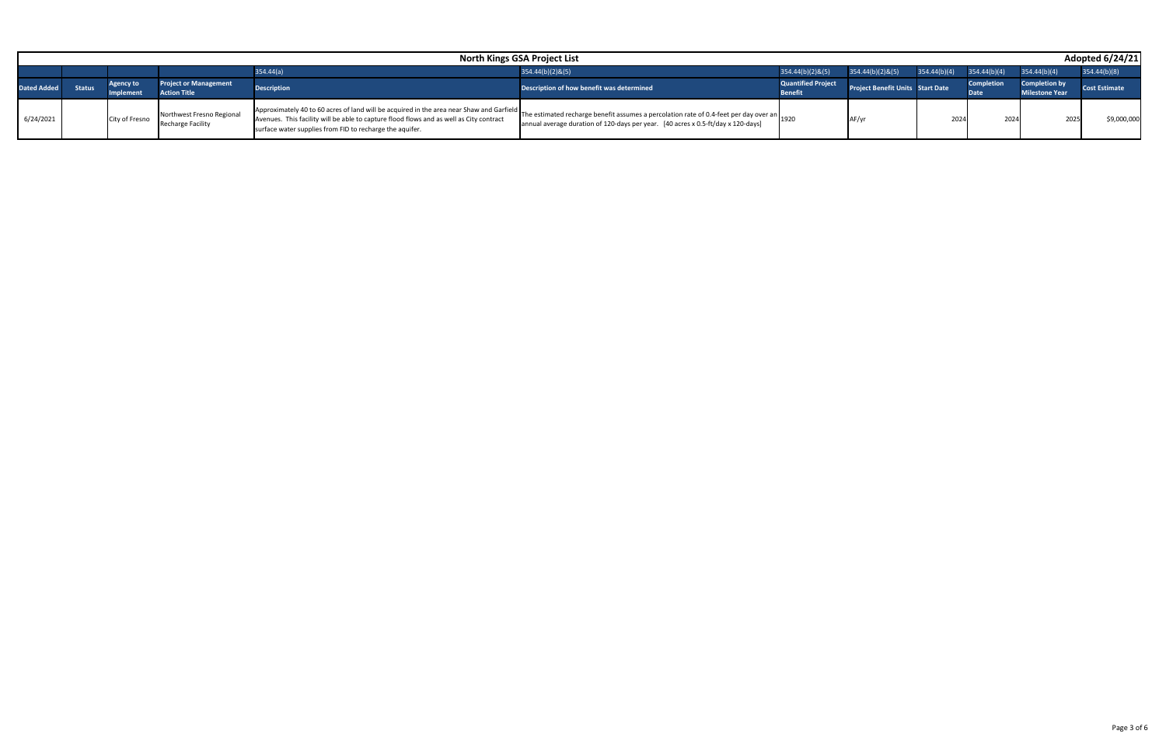|                    | <b>North Kings GSA Project List</b> |                              |                                                       |                                                                                                                                                                                                                                                 |                                                                                                                                                                                |                                             |                                         |                               |                                  | Adopted 6/24/21                               |                      |
|--------------------|-------------------------------------|------------------------------|-------------------------------------------------------|-------------------------------------------------------------------------------------------------------------------------------------------------------------------------------------------------------------------------------------------------|--------------------------------------------------------------------------------------------------------------------------------------------------------------------------------|---------------------------------------------|-----------------------------------------|-------------------------------|----------------------------------|-----------------------------------------------|----------------------|
|                    |                                     |                              |                                                       | 354.44(a)                                                                                                                                                                                                                                       | 354.44(b)(2)&(5)                                                                                                                                                               | $354.44(b)(2)$ &(5)                         | 354.44(b)(2)&(5)                        | $354.44(b)(4)$ $354.44(b)(4)$ |                                  | 354.44(b)(4)                                  | 354.44(b)(8)         |
| <b>Dated Added</b> | Status                              | <b>Agency to</b><br>Implemen | <b>Project or Management</b><br><b>Action Title</b>   | <b>Description</b>                                                                                                                                                                                                                              | Description of how benefit was determined                                                                                                                                      | <b>Quantified Project</b><br><b>Benefit</b> | <b>Project Benefit Units Start Date</b> |                               | <b>Completion</b><br><b>Date</b> | <b>Completion by</b><br><b>Milestone Year</b> | <b>Cost Estimate</b> |
| 6/24/2021          |                                     | City of Fresno               | Northwest Fresno Regional<br><b>Recharge Facility</b> | Approximately 40 to 60 acres of land will be acquired in the area near Shaw and Garfield<br>Avenues. This facility will be able to capture flood flows and as well as City contract<br>surface water supplies from FID to recharge the aquifer. | The estimated recharge benefit assumes a percolation rate of 0.4-feet per day over an 1920<br>annual average duration of 120-days per year. [40 acres x 0.5-ft/day x 120-days] |                                             |                                         | 2024                          | 2024                             | 2025                                          | \$9,000,000          |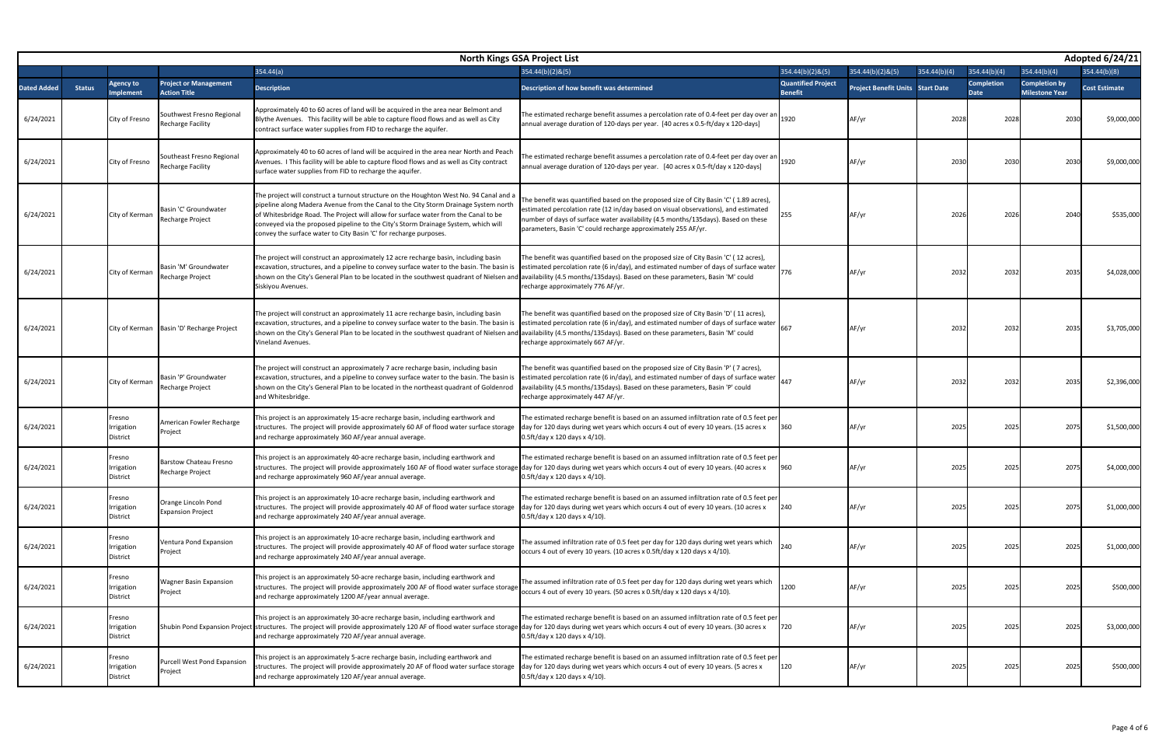| Adopted 6/24/21<br><b>North Kings GSA Project List</b> |               |                                  |                                                       |                                                                                                                                                                                                                                                                                                                                                                                                                                 |                                                                                                                                                                                                                                                                                                                                   |                                             |                                         |              |                           |                                               |                      |
|--------------------------------------------------------|---------------|----------------------------------|-------------------------------------------------------|---------------------------------------------------------------------------------------------------------------------------------------------------------------------------------------------------------------------------------------------------------------------------------------------------------------------------------------------------------------------------------------------------------------------------------|-----------------------------------------------------------------------------------------------------------------------------------------------------------------------------------------------------------------------------------------------------------------------------------------------------------------------------------|---------------------------------------------|-----------------------------------------|--------------|---------------------------|-----------------------------------------------|----------------------|
|                                                        |               |                                  |                                                       | 354.44(a)                                                                                                                                                                                                                                                                                                                                                                                                                       | $354.44(b)(2)$ &(5)                                                                                                                                                                                                                                                                                                               | $354.44(b)(2)$ &(5)                         | $354.44(b)(2)$ &(5)                     | 354.44(b)(4) | 354.44(b)(4)              | 354.44(b)(4)                                  | 354.44(b)(8)         |
| Dated Added                                            | <b>Status</b> | <b>Agency to</b><br>mplement     | <b>Project or Management</b><br><b>Action Title</b>   | <b>Description</b>                                                                                                                                                                                                                                                                                                                                                                                                              | Description of how benefit was determined                                                                                                                                                                                                                                                                                         | <b>Quantified Project</b><br><b>Benefit</b> | <b>Project Benefit Units Start Date</b> |              | <b>Completion</b><br>Date | <b>Completion by</b><br><b>Milestone Year</b> | <b>Cost Estimate</b> |
| 6/24/2021                                              |               | City of Fresno                   | Southwest Fresno Regional<br><b>Recharge Facility</b> | Approximately 40 to 60 acres of land will be acquired in the area near Belmont and<br>Blythe Avenues. This facility will be able to capture flood flows and as well as City<br>contract surface water supplies from FID to recharge the aquifer.                                                                                                                                                                                | The estimated recharge benefit assumes a percolation rate of 0.4-feet per day over an 1920<br>annual average duration of 120-days per year. [40 acres x 0.5-ft/day x 120-days]                                                                                                                                                    |                                             | AF/yr                                   | 202          | 2028                      | 203                                           | \$9,000,000          |
| 6/24/2021                                              |               | City of Fresno                   | Southeast Fresno Regional<br><b>Recharge Facility</b> | Approximately 40 to 60 acres of land will be acquired in the area near North and Peach<br>Avenues. I This facility will be able to capture flood flows and as well as City contract<br>surface water supplies from FID to recharge the aquifer.                                                                                                                                                                                 | The estimated recharge benefit assumes a percolation rate of 0.4-feet per day over an $\Big _{1920}$<br>annual average duration of 120-days per year. [40 acres x 0.5-ft/day x 120-days]                                                                                                                                          |                                             | AF/yr                                   | 2030         | 2030                      | 2030                                          | \$9,000,000          |
| 6/24/2021                                              |               | City of Kerman                   | Basin 'C' Groundwater<br>Recharge Project             | The project will construct a turnout structure on the Houghton West No. 94 Canal and a<br>pipeline along Madera Avenue from the Canal to the City Storm Drainage System north<br>of Whitesbridge Road. The Project will allow for surface water from the Canal to be<br>conveyed via the proposed pipeline to the City's Storm Drainage System, which will<br>convey the surface water to City Basin 'C' for recharge purposes. | The benefit was quantified based on the proposed size of City Basin 'C' (1.89 acres),<br>estimated percolation rate (12 in/day based on visual observations), and estimated<br>number of days of surface water availability (4.5 months/135days). Based on these<br>parameters, Basin 'C' could recharge approximately 255 AF/yr. |                                             | AF/yr                                   | 2026         | 2026                      | 2040                                          | \$535,000            |
| 6/24/2021                                              |               | City of Kerman                   | Basin 'M' Groundwater<br>Recharge Project             | The project will construct an approximately 12 acre recharge basin, including basin<br>excavation, structures, and a pipeline to convey surface water to the basin. The basin is<br>shown on the City's General Plan to be located in the southwest quadrant of Nielsen and availability (4.5 months/135days). Based on these parameters, Basin 'M' could<br>Siskiyou Avenues.                                                  | The benefit was quantified based on the proposed size of City Basin 'C' (12 acres),<br>estimated percolation rate (6 in/day), and estimated number of days of surface water 776<br>recharge approximately 776 AF/yr.                                                                                                              |                                             | AF/yr                                   | 2032         | 2032                      | 2035                                          | \$4,028,000          |
| 6/24/2021                                              |               |                                  | City of Kerman Basin 'D' Recharge Project             | The project will construct an approximately 11 acre recharge basin, including basin<br>excavation, structures, and a pipeline to convey surface water to the basin. The basin is<br>shown on the City's General Plan to be located in the southwest quadrant of Nielsen and availability (4.5 months/135days). Based on these parameters, Basin 'M' could<br>Vineland Avenues.                                                  | The benefit was quantified based on the proposed size of City Basin 'D' (11 acres),<br>estimated percolation rate (6 in/day), and estimated number of days of surface water<br>recharge approximately 667 AF/yr.                                                                                                                  |                                             | AF/yr                                   | 2032         | 2032                      | 2035                                          | \$3,705,000          |
| 6/24/2021                                              |               | City of Kerman                   | Basin 'P' Groundwater<br>Recharge Project             | The project will construct an approximately 7 acre recharge basin, including basin<br>excavation, structures, and a pipeline to convey surface water to the basin. The basin is<br>shown on the City's General Plan to be located in the northeast quadrant of Goldenrod<br>and Whitesbridge.                                                                                                                                   | The benefit was quantified based on the proposed size of City Basin 'P' (7 acres),<br>estimated percolation rate (6 in/day), and estimated number of days of surface water 447<br>availability (4.5 months/135days). Based on these parameters, Basin 'P' could<br>recharge approximately 447 AF/yr.                              |                                             | AF/yr                                   | 203          | 203                       | 203                                           | \$2,396,000          |
| 6/24/2021                                              |               | Fresno<br>Irrigation<br>District | American Fowler Recharge<br>Project                   | This project is an approximately 15-acre recharge basin, including earthwork and<br>structures. The project will provide approximately 60 AF of flood water surface storage<br>and recharge approximately 360 AF/year annual average.                                                                                                                                                                                           | The estimated recharge benefit is based on an assumed infiltration rate of 0.5 feet per<br>day for 120 days during wet years which occurs 4 out of every 10 years. (15 acres x<br>0.5ft/day x 120 days x 4/10).                                                                                                                   | 360                                         | AF/yr                                   | 2025         | 2025                      | 207                                           | \$1,500,000          |
| 6/24/2021                                              |               | Fresno<br>Irrigation<br>District | <b>Barstow Chateau Fresno</b><br>Recharge Project     | his project is an approximately 40-acre recharge basin, including earthwork and<br>structures. The project will provide approximately 160 AF of flood water surface storage day for 120 days during wet years which occurs 4 out of every 10 years. (40 acres x<br>and recharge approximately 960 AF/year annual average.                                                                                                       | The estimated recharge benefit is based on an assumed infiltration rate of 0.5 feet per<br>0.5ft/day x 120 days x 4/10).                                                                                                                                                                                                          | 960                                         | AF/yr                                   | 2025         | 2025                      | 2075                                          | \$4,000,000          |
| 6/24/2021                                              |               | Fresno<br>Irrigation<br>District | Orange Lincoln Pond<br><b>Expansion Project</b>       | his project is an approximately 10-acre recharge basin, including earthwork and<br>structures. The project will provide approximately 40 AF of flood water surface storage<br>and recharge approximately 240 AF/year annual average.                                                                                                                                                                                            | The estimated recharge benefit is based on an assumed infiltration rate of 0.5 feet per<br>day for 120 days during wet years which occurs 4 out of every 10 years. (10 acres x<br>0.5ft/day x 120 days x 4/10).                                                                                                                   | 240                                         | AF/yr                                   | 2025         | 2025                      | 2075                                          | \$1,000,000          |
| 6/24/2021                                              |               | Fresno<br>Irrigation<br>District | Ventura Pond Expansion<br>Project                     | his project is an approximately 10-acre recharge basin, including earthwork and<br>structures. The project will provide approximately 40 AF of flood water surface storage<br>and recharge approximately 240 AF/year annual average.                                                                                                                                                                                            | he assumed infiltration rate of 0.5 feet per day for 120 days during wet years which<br>occurs 4 out of every 10 years. (10 acres x 0.5ft/day x 120 days x 4/10).                                                                                                                                                                 | 240                                         | AF/yr                                   | 2025         | 2025                      | 2025                                          | \$1,000,000          |
| 6/24/2021                                              |               | Fresno<br>Irrigation<br>District | <b>Wagner Basin Expansion</b><br>Project              | his project is an approximately 50-acre recharge basin, including earthwork and<br>structures. The project will provide approximately 200 AF of flood water surface storage<br>and recharge approximately 1200 AF/year annual average.                                                                                                                                                                                          | The assumed infiltration rate of 0.5 feet per day for 120 days during wet years which<br>occurs 4 out of every 10 years. (50 acres x 0.5ft/day x 120 days x 4/10).                                                                                                                                                                | 1200                                        | AF/yr                                   | 202          | 2025                      | 2025                                          | \$500,000            |
| 6/24/2021                                              |               | Fresno<br>Irrigation<br>District |                                                       | This project is an approximately 30-acre recharge basin, including earthwork and<br>Shubin Pond Expansion Project structures. The project will provide approximately 120 AF of flood water surface storage day for 120 days during wet years which occurs 4 out of every 10 years. (30 acres x<br>and recharge approximately 720 AF/year annual average.                                                                        | The estimated recharge benefit is based on an assumed infiltration rate of 0.5 feet per<br>0.5ft/day x 120 days x 4/10).                                                                                                                                                                                                          | 720                                         | AF/yr                                   | 2025         | 2025                      | 2025                                          | \$3,000,000          |
| 6/24/2021                                              |               | Fresno<br>Irrigation<br>District | <b>Purcell West Pond Expansion</b><br>Project         | This project is an approximately 5-acre recharge basin, including earthwork and<br>structures. The project will provide approximately 20 AF of flood water surface storage<br>and recharge approximately 120 AF/year annual average.                                                                                                                                                                                            | The estimated recharge benefit is based on an assumed infiltration rate of 0.5 feet per<br>day for 120 days during wet years which occurs 4 out of every 10 years. (5 acres x<br>0.5ft/day x 120 days x 4/10).                                                                                                                    | 120                                         | AF/yr                                   | 2025         | 2025                      | 2025                                          | \$500,000            |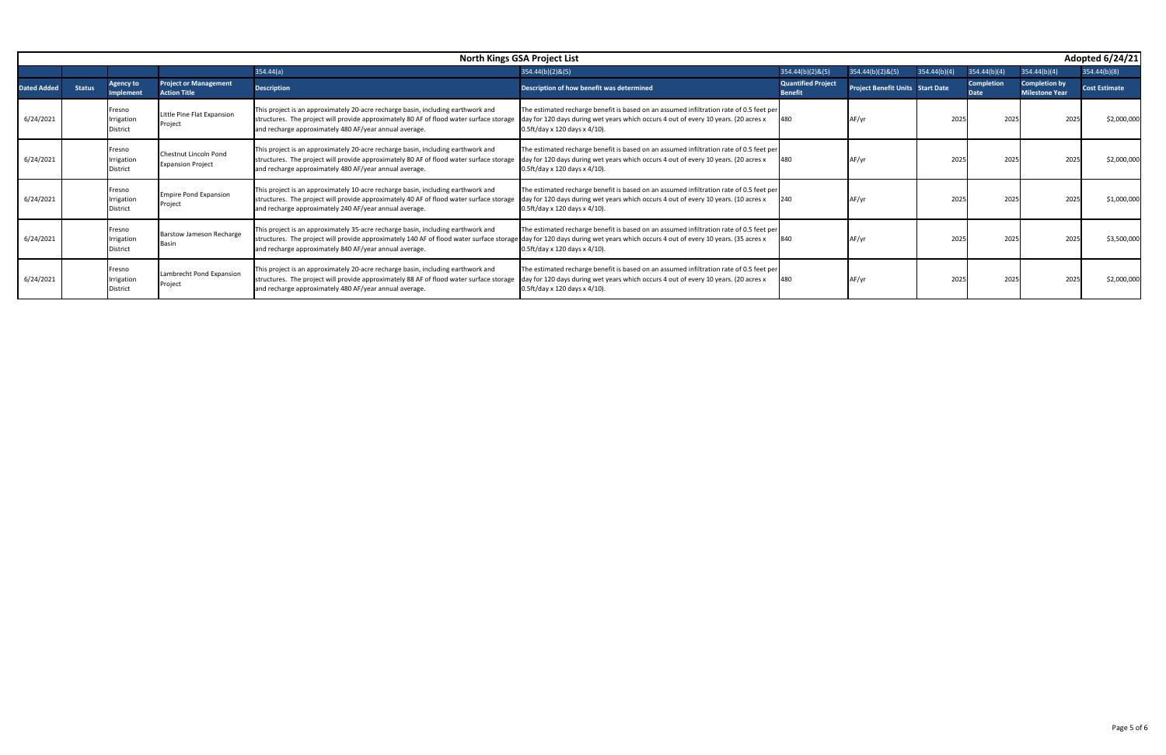|            | Adopted 6/24/21<br><b>North Kings GSA Project List</b> |                                         |                                                     |                                                                                                                                                                                                                                        |                                                                                                                                                                                                                             |                                             |                                         |              |                                  |                                               |                      |  |
|------------|--------------------------------------------------------|-----------------------------------------|-----------------------------------------------------|----------------------------------------------------------------------------------------------------------------------------------------------------------------------------------------------------------------------------------------|-----------------------------------------------------------------------------------------------------------------------------------------------------------------------------------------------------------------------------|---------------------------------------------|-----------------------------------------|--------------|----------------------------------|-----------------------------------------------|----------------------|--|
|            |                                                        |                                         |                                                     | 354.44(a)                                                                                                                                                                                                                              | 354.44(b)(2)&(5)                                                                                                                                                                                                            | 354.44(b)(2)&(5)                            | 354.44(b)(2)&(5)                        | 354.44(b)(4) | 354.44(b)(4)                     | 354.44(b)(4)                                  | 354.44(b)(8)         |  |
| ated Added | <b>Status</b>                                          | Agency to<br><b>Implement</b>           | <b>Project or Management</b><br><b>Action Title</b> | <b>Description</b>                                                                                                                                                                                                                     | Description of how benefit was determined                                                                                                                                                                                   | <b>Quantified Project</b><br><b>Benefit</b> | <b>Project Benefit Units Start Date</b> |              | <b>Completion</b><br><b>Date</b> | <b>Completion by</b><br><b>Milestone Year</b> | <b>Cost Estimate</b> |  |
| 6/24/2021  |                                                        | Fresno<br>Irrigation<br><b>District</b> | Little Pine Flat Expansion<br>Project               | This project is an approximately 20-acre recharge basin, including earthwork and<br>structures. The project will provide approximately 80 AF of flood water surface storage<br>and recharge approximately 480 AF/year annual average.  | The estimated recharge benefit is based on an assumed infiltration rate of 0.5 feet per<br>day for 120 days during wet years which occurs 4 out of every 10 years. (20 acres x<br>$0.5ft/day \times 120 days \times 4/10$ . | 480                                         | AF/vı                                   | 202          | 2025                             | 202                                           | \$2,000,000          |  |
| 6/24/2021  |                                                        | Fresno<br>Irrigation<br><b>District</b> | Chestnut Lincoln Pond<br><b>Expansion Project</b>   | This project is an approximately 20-acre recharge basin, including earthwork and<br>structures. The project will provide approximately 80 AF of flood water surface storage<br>and recharge approximately 480 AF/year annual average.  | The estimated recharge benefit is based on an assumed infiltration rate of 0.5 feet per<br>day for 120 days during wet years which occurs 4 out of every 10 years. (20 acres x<br>$0.5ft/day \times 120 days \times 4/10$ . |                                             |                                         | 2025         | 2025                             | 202                                           | \$2,000,000          |  |
| 6/24/2021  |                                                        | Fresno<br>Irrigation<br><b>District</b> | <b>Empire Pond Expansion</b><br>Project             | This project is an approximately 10-acre recharge basin, including earthwork and<br>structures. The project will provide approximately 40 AF of flood water surface storage<br>and recharge approximately 240 AF/year annual average.  | The estimated recharge benefit is based on an assumed infiltration rate of 0.5 feet per<br>day for 120 days during wet years which occurs 4 out of every 10 years. (10 acres x<br>$0.5ft/day \times 120 days \times 4/10$ . | 240                                         | AF/vi                                   | 202          | 2025                             | 202                                           | \$1,000,000          |  |
| 6/24/2021  |                                                        | Fresno<br>Irrigation<br><b>District</b> | <b>Barstow Jameson Recharge</b><br>Basir            | This project is an approximately 35-acre recharge basin, including earthwork and<br>structures. The project will provide approximately 140 AF of flood water surface storage<br>and recharge approximately 840 AF/year annual average. | The estimated recharge benefit is based on an assumed infiltration rate of 0.5 feet per<br>day for 120 days during wet years which occurs 4 out of every 10 years. (35 acres x<br>0.5ft/day x 120 days x 4/10).             |                                             |                                         | 202          | 2025                             | 202                                           | \$3,500,000          |  |
| 6/24/2021  |                                                        | Fresno<br>Irrigation<br><b>District</b> | Lambrecht Pond Expansion<br>Project                 | This project is an approximately 20-acre recharge basin, including earthwork and<br>structures. The project will provide approximately 88 AF of flood water surface storage<br>and recharge approximately 480 AF/year annual average.  | The estimated recharge benefit is based on an assumed infiltration rate of 0.5 feet per<br>day for 120 days during wet years which occurs 4 out of every 10 years. (20 acres x<br>$0.5ft/day \times 120 days \times 4/10$ . |                                             |                                         | 202          | 2025                             | 202                                           | \$2,000,000          |  |